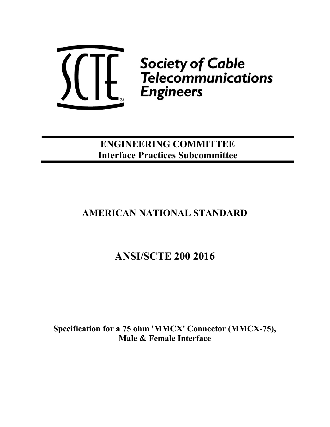

ENGINEERING COMMITTEE Interface Practices Subcommittee

# AMERICAN NATIONAL STANDARD

# ANSI/SCTE 200 2016

Specification for a 75 ohm 'MMCX' Connector (MMCX-75), Male & Female Interface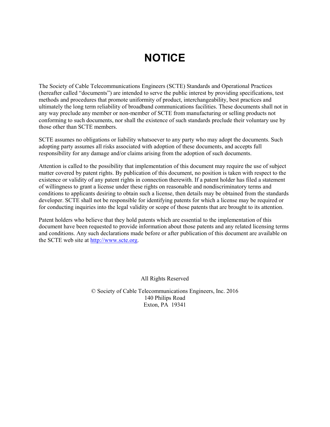# NOTICE

The Society of Cable Telecommunications Engineers (SCTE) Standards and Operational Practices (hereafter called "documents") are intended to serve the public interest by providing specifications, test methods and procedures that promote uniformity of product, interchangeability, best practices and ultimately the long term reliability of broadband communications facilities. These documents shall not in any way preclude any member or non-member of SCTE from manufacturing or selling products not conforming to such documents, nor shall the existence of such standards preclude their voluntary use by those other than SCTE members.

SCTE assumes no obligations or liability whatsoever to any party who may adopt the documents. Such adopting party assumes all risks associated with adoption of these documents, and accepts full responsibility for any damage and/or claims arising from the adoption of such documents.

Attention is called to the possibility that implementation of this document may require the use of subject matter covered by patent rights. By publication of this document, no position is taken with respect to the existence or validity of any patent rights in connection therewith. If a patent holder has filed a statement of willingness to grant a license under these rights on reasonable and nondiscriminatory terms and conditions to applicants desiring to obtain such a license, then details may be obtained from the standards developer. SCTE shall not be responsible for identifying patents for which a license may be required or for conducting inquiries into the legal validity or scope of those patents that are brought to its attention.

Patent holders who believe that they hold patents which are essential to the implementation of this document have been requested to provide information about those patents and any related licensing terms and conditions. Any such declarations made before or after publication of this document are available on the SCTE web site at http://www.scte.org.

All Rights Reserved

© Society of Cable Telecommunications Engineers, Inc. 2016 140 Philips Road Exton, PA 19341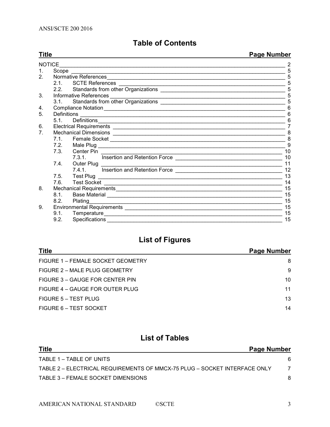# Table of Contents

| <b>Title</b>   |               |                        | Page Number |
|----------------|---------------|------------------------|-------------|
|                | <b>NOTICE</b> |                        |             |
| $1_{-}$        |               |                        | 5           |
| $\mathcal{P}$  |               |                        | 5           |
|                |               | 2.1. SCTE References   |             |
|                |               |                        | 5           |
| 3.             |               |                        | 5           |
|                |               |                        | 5           |
| 4.             |               |                        | 6           |
| 5.             | Definitions   |                        | 6           |
|                | 5.1           |                        | 6           |
| 6.             |               |                        | 7           |
| 7 <sub>1</sub> |               |                        | 8           |
|                |               |                        | 8           |
|                | 7.2           |                        | 9           |
|                | 7.3.          | Center Pin             | 10          |
|                |               |                        | 10          |
|                | 7.4.          | Outer Plug  __________ | 11          |
|                |               |                        | 12          |
|                | 7.5           |                        | 13          |
|                | 7.6.          |                        | 14          |
| 8.             |               |                        | 15          |
|                | 8.1           |                        | 15          |
|                | 8.2.          |                        | 15          |
| 9.             |               |                        | 15          |
|                | 9.1.          |                        | 15          |
|                | 9.2.          |                        | 15          |

# List of Figures

| <b>Title</b>                      | Page Number |
|-----------------------------------|-------------|
| FIGURE 1 – FEMALE SOCKET GEOMETRY | 8           |
| FIGURE 2 – MALE PLUG GEOMETRY     | 9           |
| FIGURE 3 – GAUGE FOR CENTER PIN   | 10          |
| FIGURE 4 – GAUGE FOR OUTER PLUG   | 11          |
| FIGURE 5 – TEST PLUG              | 13          |
| FIGURE 6 – TEST SOCKET            | 14          |

# List of Tables

| <b>Title</b><br>Page Number                                               |   |
|---------------------------------------------------------------------------|---|
| TABLE 1 – TABLE OF UNITS                                                  | 6 |
| TABLE 2 – ELECTRICAL REQUIREMENTS OF MMCX-75 PLUG – SOCKET INTERFACE ONLY |   |
| TABLE 3 – FEMALE SOCKET DIMENSIONS                                        |   |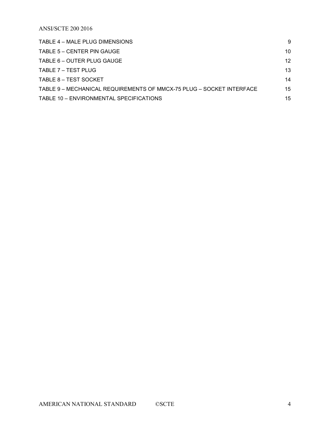ANSI/SCTE 200 2016

| TABLE 4 – MALE PLUG DIMENSIONS                                       | 9  |
|----------------------------------------------------------------------|----|
| TABLE 5 – CENTER PIN GAUGE                                           | 10 |
| TABLE 6 – OUTER PLUG GAUGE                                           | 12 |
| TABLE 7 – TEST PLUG                                                  | 13 |
| TABLE 8 – TEST SOCKET                                                | 14 |
| TABLE 9 - MECHANICAL REQUIREMENTS OF MMCX-75 PLUG - SOCKET INTERFACE | 15 |
| TABLE 10 - ENVIRONMENTAL SPECIFICATIONS                              | 15 |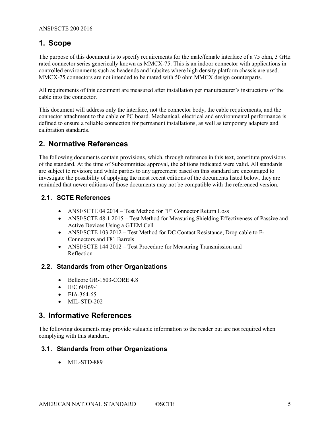# 1. Scope

The purpose of this document is to specify requirements for the male/female interface of a 75 ohm, 3 GHz rated connector series generically known as MMCX-75. This is an indoor connector with applications in controlled environments such as headends and hubsites where high density platform chassis are used. MMCX-75 connectors are not intended to be mated with 50 ohm MMCX design counterparts.

All requirements of this document are measured after installation per manufacturer's instructions of the cable into the connector.

This document will address only the interface, not the connector body, the cable requirements, and the connector attachment to the cable or PC board. Mechanical, electrical and environmental performance is defined to ensure a reliable connection for permanent installations, as well as temporary adapters and calibration standards.

# 2. Normative References

The following documents contain provisions, which, through reference in this text, constitute provisions of the standard. At the time of Subcommittee approval, the editions indicated were valid. All standards are subject to revision; and while parties to any agreement based on this standard are encouraged to investigate the possibility of applying the most recent editions of the documents listed below, they are reminded that newer editions of those documents may not be compatible with the referenced version.

## 2.1. SCTE References

- ANSI/SCTE 04 2014 Test Method for "F" Connector Return Loss
- ANSI/SCTE 48-1 2015 Test Method for Measuring Shielding Effectiveness of Passive and Active Devices Using a GTEM Cell
- ANSI/SCTE 103 2012 Test Method for DC Contact Resistance, Drop cable to F-Connectors and F81 Barrels
- ANSI/SCTE 144 2012 Test Procedure for Measuring Transmission and Reflection

#### 2.2. Standards from other Organizations

- $\bullet$  Bellcore GR-1503-CORE 4.8
- $\bullet$  IEC 60169-1
- $\bullet$  EIA-364-65
- $\bullet$  MIL-STD-202

## 3. Informative References

The following documents may provide valuable information to the reader but are not required when complying with this standard.

#### 3.1. Standards from other Organizations

• MIL-STD-889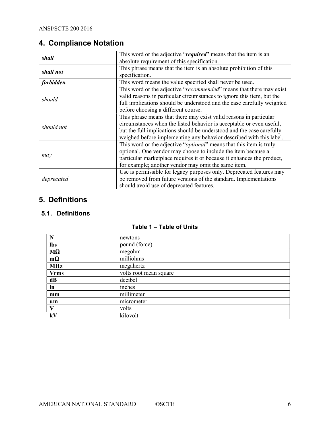# 4. Compliance Notation

| shall      | This word or the adjective "required" means that the item is an              |
|------------|------------------------------------------------------------------------------|
|            | absolute requirement of this specification.                                  |
| shall not  | This phrase means that the item is an absolute prohibition of this           |
|            | specification.                                                               |
| forbidden  | This word means the value specified shall never be used.                     |
|            | This word or the adjective "recommended" means that there may exist          |
| should     | valid reasons in particular circumstances to ignore this item, but the       |
|            | full implications should be understood and the case carefully weighted       |
|            | before choosing a different course.                                          |
|            | This phrase means that there may exist valid reasons in particular           |
| should not | circumstances when the listed behavior is acceptable or even useful,         |
|            | but the full implications should be understood and the case carefully        |
|            | weighed before implementing any behavior described with this label.          |
|            | This word or the adjective " <i>optional</i> " means that this item is truly |
|            | optional. One vendor may choose to include the item because a                |
| may        | particular marketplace requires it or because it enhances the product,       |
|            | for example; another vendor may omit the same item.                          |
|            | Use is permissible for legacy purposes only. Deprecated features may         |
| deprecated | be removed from future versions of the standard. Implementations             |
|            | should avoid use of deprecated features.                                     |

# 5. Definitions

## 5.1. Definitions

| N             | newtons                |
|---------------|------------------------|
| <b>lbs</b>    | pound (force)          |
| $M\Omega$     | megohm                 |
| $m\Omega$     | milliohms              |
| <b>MHz</b>    | megahertz              |
| <b>Vrms</b>   | volts root mean square |
| dB            | decibel                |
| $\mathbf{in}$ | inches                 |
| mm            | millimeter             |
| $\mu$ m       | micrometer             |
| V             | volts                  |
| kV            | kilovolt               |

### Table 1 – Table of Units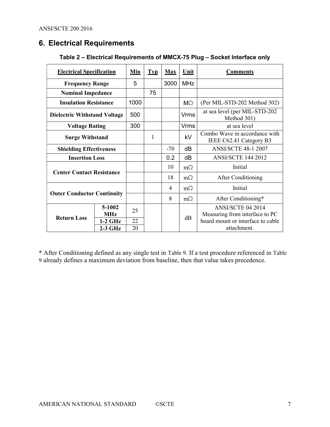# 6. Electrical Requirements

| <b>Electrical Specification</b>     | Min                  | <b>Typ</b> | <b>Max</b> | Unit      | <b>Comments</b>     |                                                          |
|-------------------------------------|----------------------|------------|------------|-----------|---------------------|----------------------------------------------------------|
| <b>Frequency Range</b>              |                      | 5          |            | 3000      | <b>MHz</b>          |                                                          |
| <b>Nominal Impedance</b>            |                      |            | 75         |           |                     |                                                          |
| <b>Insulation Resistance</b>        |                      | 1000       |            |           | M <sub>2</sub>      | (Per MIL-STD-202 Method 302)                             |
| <b>Dielectric Withstand Voltage</b> |                      | 500        |            |           | Vrms                | at sea level (per MIL-STD-202<br>Method 301)             |
| <b>Voltage Rating</b>               |                      | 300        |            |           | <b>Vrms</b>         | at sea level                                             |
| <b>Surge Withstand</b>              |                      |            | 1          |           | kV                  | Combo Wave in accordance with<br>IEEE C62.41 Category B3 |
| <b>Shielding Effectiveness</b>      |                      |            |            | $-70$     | dB                  | <b>ANSI/SCTE 48-1 2007</b>                               |
| <b>Insertion Loss</b>               |                      |            |            | 0.2       | dB                  | <b>ANSI/SCTE 144 2012</b>                                |
| <b>Center Contact Resistance</b>    |                      |            |            | 10        | $m\Omega$           | Initial                                                  |
|                                     |                      |            |            | 18        | $m\Omega$           | After Conditioning                                       |
|                                     |                      |            |            | 4         | $m\Omega$           | Initial                                                  |
| <b>Outer Conductor Continuity</b>   |                      |            | 8          | $m\Omega$ | After Conditioning* |                                                          |
| <b>Return Loss</b>                  | 5-1002<br><b>MHz</b> | 25         |            |           | dB                  | ANSI/SCTE 04 2014<br>Measuring from interface to PC      |
|                                     | $1-2$ GHz            | 22         |            |           |                     | board mount or interface to cable                        |
|                                     | $2-3$ GHz            | 20         |            |           |                     | attachment.                                              |

### Table 2 – Electrical Requirements of MMCX-75 Plug – Socket Interface only

\* After Conditioning defined as any single test in Table 9. If a test procedure referenced in Table 9 already defines a maximum deviation from baseline, then that value takes precedence.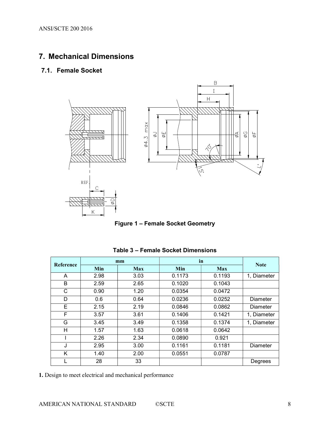# 7. Mechanical Dimensions

## 7.1. Female Socket



Figure 1 – Female Socket Geometry

| <b>Reference</b> |      | mm         | in     | <b>Note</b> |                 |
|------------------|------|------------|--------|-------------|-----------------|
|                  | Min  | <b>Max</b> | Min    | <b>Max</b>  |                 |
| A                | 2.98 | 3.03       | 0.1173 | 0.1193      | 1, Diameter     |
| B                | 2.59 | 2.65       | 0.1020 | 0.1043      |                 |
| C                | 0.90 | 1.20       | 0.0354 | 0.0472      |                 |
| D                | 0.6  | 0.64       | 0.0236 | 0.0252      | Diameter        |
| Е                | 2.15 | 2.19       | 0.0846 | 0.0862      | <b>Diameter</b> |
| F                | 3.57 | 3.61       | 0.1406 | 0.1421      | 1, Diameter     |
| G                | 3.45 | 3.49       | 0.1358 | 0.1374      | 1, Diameter     |
| н                | 1.57 | 1.63       | 0.0618 | 0.0642      |                 |
|                  | 2.26 | 2.34       | 0.0890 | 0.921       |                 |
| J                | 2.95 | 3.00       | 0.1161 | 0.1181      | Diameter        |
| K                | 1.40 | 2.00       | 0.0551 | 0.0787      |                 |
|                  | 28   | 33         |        |             | Degrees         |

Table 3 – Female Socket Dimensions

1. Design to meet electrical and mechanical performance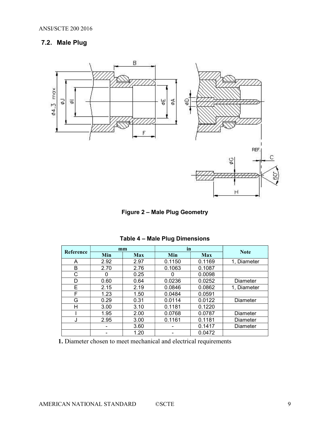# 7.2. Male Plug



Figure 2 – Male Plug Geometry

|           |      | mm         | in     |            |                 |
|-----------|------|------------|--------|------------|-----------------|
| Reference | Min  | <b>Max</b> | Min    | <b>Max</b> | <b>Note</b>     |
| A         | 2.92 | 2.97       | 0.1150 | 0.1169     | 1, Diameter     |
| в         | 2.70 | 2.76       | 0.1063 | 0.1087     |                 |
| C         | 0    | 0.25       | 0      | 0.0098     |                 |
| D         | 0.60 | 0.64       | 0.0236 | 0.0252     | Diameter        |
| Е         | 2.15 | 2.19       | 0.0846 | 0.0862     | 1. Diameter     |
| F         | 1.23 | 1.50       | 0.0484 | 0.0591     |                 |
| G         | 0.29 | 0.31       | 0.0114 | 0.0122     | Diameter        |
| н         | 3.00 | 3.10       | 0.1181 | 0.1220     |                 |
|           | 1.95 | 2.00       | 0.0768 | 0.0787     | Diameter        |
| J         | 2.95 | 3.00       | 0.1161 | 0.1181     | <b>Diameter</b> |
|           | ۰    | 3.60       | -      | 0.1417     | Diameter        |
|           |      | 1.20       |        | 0.0472     |                 |

Table 4 – Male Plug Dimensions

1. Diameter chosen to meet mechanical and electrical requirements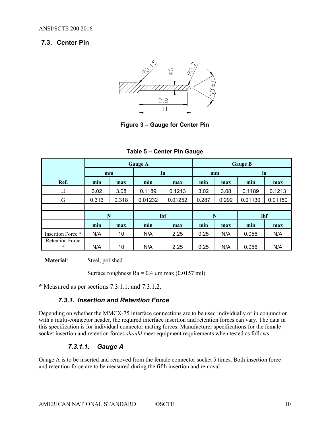### 7.3. Center Pin



Figure 3 – Gauge for Center Pin

|                                   |            |       | <b>Gauge A</b> |         | <b>Gauge B</b> |       |            |         |
|-----------------------------------|------------|-------|----------------|---------|----------------|-------|------------|---------|
|                                   | mm         |       | In             |         | mm             |       | in         |         |
| Ref.                              | min<br>max |       | min            | max     | min            | max   | min        | max     |
| Η                                 | 3.02       | 3.08  | 0.1189         | 0.1213  | 3.02           | 3.08  | 0.1189     | 0.1213  |
| G                                 | 0.313      | 0.318 | 0.01232        | 0.01252 | 0.287          | 0.292 | 0.01130    | 0.01150 |
|                                   |            |       |                |         |                |       |            |         |
|                                   | N          |       | <b>lbf</b>     |         | N              |       | <b>lbf</b> |         |
|                                   | min        | max   | min            | max     | min            | max   | min        | max     |
| Insertion Force *                 | N/A        | 10    | N/A            | 2.25    | 0.25           | N/A   | 0.056      | N/A     |
| <b>Retention Force</b><br>$\star$ | N/A        | 10    | N/A            | 2.25    | 0.25           | N/A   | 0.056      | N/A     |

Table 5 – Center Pin Gauge

Material: Steel, polished

Surface roughness  $Ra = 0.4 \mu m$  max (0.0157 mil)

\* Measured as per sections 7.3.1.1. and 7.3.1.2.

#### 7.3.1. Insertion and Retention Force

Depending on whether the MMCX-75 interface connections are to be used individually or in conjunction with a multi-connector header, the required interface insertion and retention forces can vary. The data in this specification is for individual connector mating forces. Manufacturer specifications for the female socket insertion and retention forces should meet equipment requirements when tested as follows

#### 7.3.1.1. Gauge A

Gauge A is to be inserted and removed from the female connector socket 5 times. Both insertion force and retention force are to be measured during the fifth insertion and removal.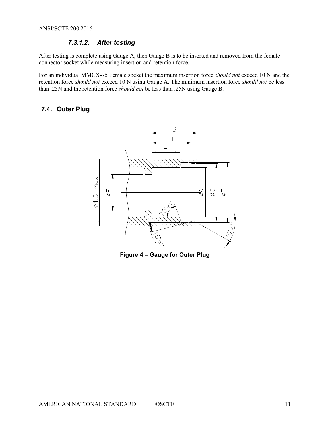## 7.3.1.2. After testing

After testing is complete using Gauge A, then Gauge B is to be inserted and removed from the female connector socket while measuring insertion and retention force.

For an individual MMCX-75 Female socket the maximum insertion force should not exceed 10 N and the retention force should not exceed 10 N using Gauge A. The minimum insertion force should not be less than .25N and the retention force should not be less than .25N using Gauge B.

## 7.4. Outer Plug



Figure 4 – Gauge for Outer Plug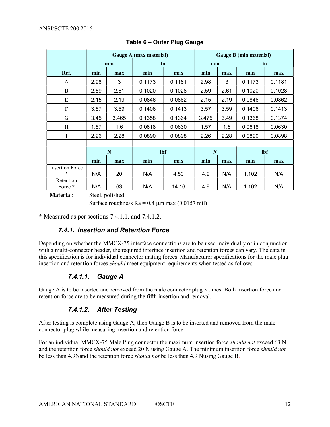|                                   | Gauge A (max material) |       |        |        | Gauge B (min material) |      |            |        |
|-----------------------------------|------------------------|-------|--------|--------|------------------------|------|------------|--------|
|                                   |                        | mm    | in     |        | mm                     |      | in         |        |
| Ref.                              | min                    | max   | min    | max    | min                    | max  | min        | max    |
| A                                 | 2.98                   | 3     | 0.1173 | 0.1181 | 2.98                   | 3    | 0.1173     | 0.1181 |
| $\bf{B}$                          | 2.59                   | 2.61  | 0.1020 | 0.1028 | 2.59                   | 2.61 | 0.1020     | 0.1028 |
| E                                 | 2.15                   | 2.19  | 0.0846 | 0.0862 | 2.15                   | 2.19 | 0.0846     | 0.0862 |
| ${\bf F}$                         | 3.57                   | 3.59  | 0.1406 | 0.1413 | 3.57                   | 3.59 | 0.1406     | 0.1413 |
| G                                 | 3.45                   | 3.465 | 0.1358 | 0.1364 | 3.475                  | 3.49 | 0.1368     | 0.1374 |
| H                                 | 1.57                   | 1.6   | 0.0618 | 0.0630 | 1.57                   | 1.6  | 0.0618     | 0.0630 |
| I                                 | 2.26                   | 2.28  | 0.0890 | 0.0898 | 2.26                   | 2.28 | 0.0890     | 0.0898 |
|                                   |                        |       |        |        |                        |      |            |        |
|                                   |                        | N     |        | lbf    | N                      |      | <b>lbf</b> |        |
|                                   | min                    | max   | min    | max    | min                    | max  | min        | max    |
| <b>Insertion Force</b><br>$\star$ | N/A                    | 20    | N/A    | 4.50   | 4.9                    | N/A  | 1.102      | N/A    |
| Retention<br>Force *              | N/A                    | 63    | N/A    | 14.16  | 4.9                    | N/A  | 1.102      | N/A    |

#### Table 6 – Outer Plug Gauge

Material: Steel, polished

Surface roughness  $Ra = 0.4 \mu m$  max (0.0157 mil)

\* Measured as per sections 7.4.1.1. and 7.4.1.2.

#### 7.4.1. Insertion and Retention Force

Depending on whether the MMCX-75 interface connections are to be used individually or in conjunction with a multi-connector header, the required interface insertion and retention forces can vary. The data in this specification is for individual connector mating forces. Manufacturer specifications for the male plug insertion and retention forces should meet equipment requirements when tested as follows

## 7.4.1.1. Gauge A

Gauge A is to be inserted and removed from the male connector plug 5 times. Both insertion force and retention force are to be measured during the fifth insertion and removal.

## 7.4.1.2. After Testing

After testing is complete using Gauge A, then Gauge B is to be inserted and removed from the male connector plug while measuring insertion and retention force.

For an individual MMCX-75 Male Plug connector the maximum insertion force should not exceed 63 N and the retention force should not exceed 20 N using Gauge A. The minimum insertion force should not be less than 4.9Nand the retention force should not be less than 4.9 Nusing Gauge B.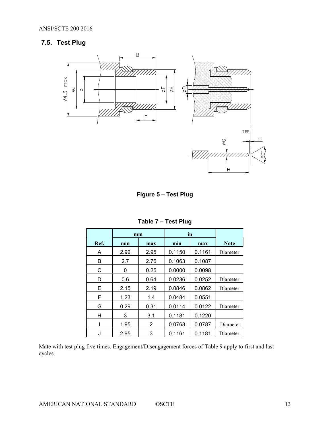# 7.5. Test Plug



Figure 5 – Test Plug

|      | in<br>mm |                |        |        |             |
|------|----------|----------------|--------|--------|-------------|
| Ref. | min      | min<br>max     |        | max    | <b>Note</b> |
| A    | 2.92     | 2.95           | 0.1150 | 0.1161 | Diameter    |
| В    | 2.7      | 2.76           | 0.1063 | 0.1087 |             |
| C    | 0        | 0.25           | 0.0000 | 0.0098 |             |
| D    | 0.6      | 0.64           | 0.0236 | 0.0252 | Diameter    |
| Е    | 2.15     | 2.19           | 0.0846 | 0.0862 | Diameter    |
| F    | 1.23     | 1.4            | 0.0484 | 0.0551 |             |
| G    | 0.29     | 0.31           | 0.0114 | 0.0122 | Diameter    |
| Η    | 3        | 3.1            | 0.1181 | 0.1220 |             |
| ı    | 1.95     | $\overline{2}$ | 0.0768 | 0.0787 | Diameter    |
| J    | 2.95     | 3              | 0.1161 | 0.1181 | Diameter    |

Table 7 – Test Plug

Mate with test plug five times. Engagement/Disengagement forces of Table 9 apply to first and last cycles.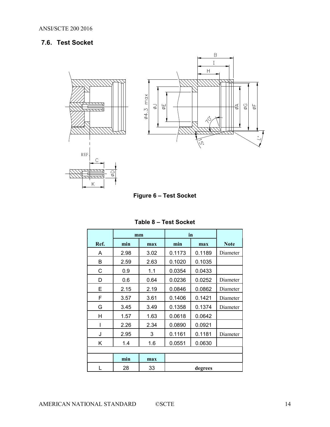# 7.6. Test Socket



Figure 6 – Test Socket

|      | mm   |      | in     |         |             |
|------|------|------|--------|---------|-------------|
| Ref. | min  | max  | min    | max     | <b>Note</b> |
| A    | 2.98 | 3.02 | 0.1173 | 0.1189  | Diameter    |
| B    | 2.59 | 2.63 | 0.1020 | 0.1035  |             |
| C    | 0.9  | 1.1  | 0.0354 | 0.0433  |             |
| D    | 0.6  | 0.64 | 0.0236 | 0.0252  | Diameter    |
| Е    | 2.15 | 2.19 | 0.0846 | 0.0862  | Diameter    |
| F    | 3.57 | 3.61 | 0.1406 | 0.1421  | Diameter    |
| G    | 3.45 | 3.49 | 0.1358 | 0.1374  | Diameter    |
| н    | 1.57 | 1.63 | 0.0618 | 0.0642  |             |
| I    | 2.26 | 2.34 | 0.0890 | 0.0921  |             |
| J    | 2.95 | 3    | 0.1161 | 0.1181  | Diameter    |
| Κ    | 1.4  | 1.6  | 0.0551 | 0.0630  |             |
|      |      |      |        |         |             |
|      | min  | max  |        |         |             |
|      | 28   | 33   |        | degrees |             |

| Table 8 – Test Socket |  |
|-----------------------|--|
|-----------------------|--|